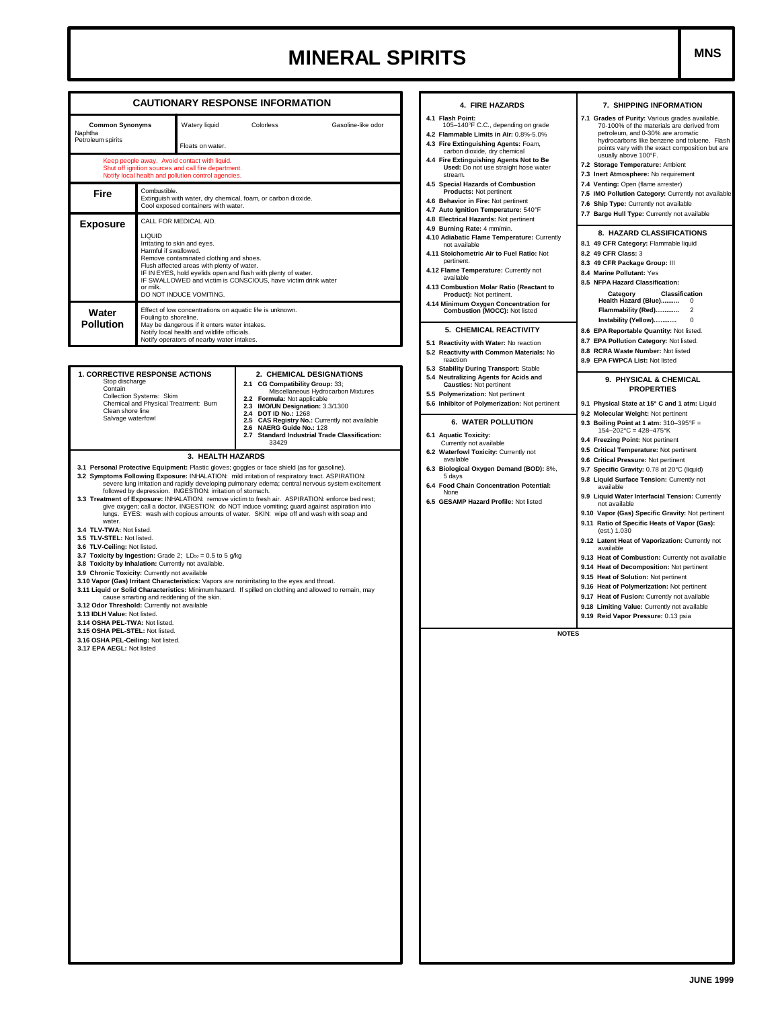## **MINERAL SPIRITS MINERAL SPIRITS**

|                                                                                                                                                                                                                                                                                                                                                                                                                                                                                                                                                                                                                                                                                                                                                                                                                                                                                                                                                                                                                                                                                                                                                                                                                                                                                                                                 |                                                                                                                                                                                                                                                                                                                                                                                                                                                                                                                            | <b>CAUTIONARY RESPONSE INFORMATION</b>                                                                                                                                                                                                                                                                                                                                                                                                                                                                                                                                                                                                               | 4. FIRE HAZARDS                                                                                                                                                                                                                                                                                                                                                                                                                                                                                                                                                          | 7. SHIPPING INFORMATION                                                                                                                                                                                                                                                                                                                                                                                                                                                                                                                                                                                                                                                                                                                                                                                                                                                                                                                                                                                                                                               |  |  |
|---------------------------------------------------------------------------------------------------------------------------------------------------------------------------------------------------------------------------------------------------------------------------------------------------------------------------------------------------------------------------------------------------------------------------------------------------------------------------------------------------------------------------------------------------------------------------------------------------------------------------------------------------------------------------------------------------------------------------------------------------------------------------------------------------------------------------------------------------------------------------------------------------------------------------------------------------------------------------------------------------------------------------------------------------------------------------------------------------------------------------------------------------------------------------------------------------------------------------------------------------------------------------------------------------------------------------------|----------------------------------------------------------------------------------------------------------------------------------------------------------------------------------------------------------------------------------------------------------------------------------------------------------------------------------------------------------------------------------------------------------------------------------------------------------------------------------------------------------------------------|------------------------------------------------------------------------------------------------------------------------------------------------------------------------------------------------------------------------------------------------------------------------------------------------------------------------------------------------------------------------------------------------------------------------------------------------------------------------------------------------------------------------------------------------------------------------------------------------------------------------------------------------------|--------------------------------------------------------------------------------------------------------------------------------------------------------------------------------------------------------------------------------------------------------------------------------------------------------------------------------------------------------------------------------------------------------------------------------------------------------------------------------------------------------------------------------------------------------------------------|-----------------------------------------------------------------------------------------------------------------------------------------------------------------------------------------------------------------------------------------------------------------------------------------------------------------------------------------------------------------------------------------------------------------------------------------------------------------------------------------------------------------------------------------------------------------------------------------------------------------------------------------------------------------------------------------------------------------------------------------------------------------------------------------------------------------------------------------------------------------------------------------------------------------------------------------------------------------------------------------------------------------------------------------------------------------------|--|--|
| <b>Common Synonyms</b><br>Watery liquid<br>Naphtha<br>Petroleum spirits<br>Floats on water.                                                                                                                                                                                                                                                                                                                                                                                                                                                                                                                                                                                                                                                                                                                                                                                                                                                                                                                                                                                                                                                                                                                                                                                                                                     |                                                                                                                                                                                                                                                                                                                                                                                                                                                                                                                            | Gasoline-like odor<br>Colorless                                                                                                                                                                                                                                                                                                                                                                                                                                                                                                                                                                                                                      | 4.1 Flash Point:<br>105-140°F C.C., depending on grade<br>4.2 Flammable Limits in Air: 0.8%-5.0%<br>4.3 Fire Extinguishing Agents: Foam,<br>carbon dioxide, dry chemical<br>4.4 Fire Extinguishing Agents Not to Be                                                                                                                                                                                                                                                                                                                                                      | 7.1 Grades of Purity: Various grades available.<br>70-100% of the materials are derived from<br>petroleum, and 0-30% are aromatic<br>hydrocarbons like benzene and toluene. Flash<br>points vary with the exact composition but are<br>usually above 100°F.                                                                                                                                                                                                                                                                                                                                                                                                                                                                                                                                                                                                                                                                                                                                                                                                           |  |  |
|                                                                                                                                                                                                                                                                                                                                                                                                                                                                                                                                                                                                                                                                                                                                                                                                                                                                                                                                                                                                                                                                                                                                                                                                                                                                                                                                 | Keep people away. Avoid contact with liquid.<br>Shut off ignition sources and call fire department.<br>Notify local health and pollution control agencies.                                                                                                                                                                                                                                                                                                                                                                 |                                                                                                                                                                                                                                                                                                                                                                                                                                                                                                                                                                                                                                                      | Used: Do not use straight hose water<br>stream.<br>4.5 Special Hazards of Combustion                                                                                                                                                                                                                                                                                                                                                                                                                                                                                     | 7.2 Storage Temperature: Ambient<br>7.3 Inert Atmosphere: No requirement<br>7.4 Venting: Open (flame arrester)                                                                                                                                                                                                                                                                                                                                                                                                                                                                                                                                                                                                                                                                                                                                                                                                                                                                                                                                                        |  |  |
| Combustible.<br>Fire<br>Extinguish with water, dry chemical, foam, or carbon dioxide.<br>Cool exposed containers with water.                                                                                                                                                                                                                                                                                                                                                                                                                                                                                                                                                                                                                                                                                                                                                                                                                                                                                                                                                                                                                                                                                                                                                                                                    |                                                                                                                                                                                                                                                                                                                                                                                                                                                                                                                            |                                                                                                                                                                                                                                                                                                                                                                                                                                                                                                                                                                                                                                                      | <b>Products: Not pertinent</b><br>4.6 Behavior in Fire: Not pertinent<br>4.7 Auto Ignition Temperature: 540°F                                                                                                                                                                                                                                                                                                                                                                                                                                                            | 7.5 IMO Pollution Category: Currently not available<br>7.6 Ship Type: Currently not available<br>7.7 Barge Hull Type: Currently not available                                                                                                                                                                                                                                                                                                                                                                                                                                                                                                                                                                                                                                                                                                                                                                                                                                                                                                                         |  |  |
| <b>Exposure</b><br>Water<br><b>Pollution</b>                                                                                                                                                                                                                                                                                                                                                                                                                                                                                                                                                                                                                                                                                                                                                                                                                                                                                                                                                                                                                                                                                                                                                                                                                                                                                    | CALL FOR MEDICAL AID.<br>LIQUID<br>Irritating to skin and eyes.<br>Harmful if swallowed.<br>Remove contaminated clothing and shoes.<br>Flush affected areas with plenty of water.<br>IF IN EYES, hold eyelids open and flush with plenty of water.<br>or milk.<br>DO NOT INDUCE VOMITING.<br>Effect of low concentrations on aquatic life is unknown.<br>Fouling to shoreline.<br>May be dangerous if it enters water intakes.<br>Notify local health and wildlife officials.<br>Notify operators of nearby water intakes. | IF SWALLOWED and victim is CONSCIOUS, have victim drink water                                                                                                                                                                                                                                                                                                                                                                                                                                                                                                                                                                                        | 4.8 Electrical Hazards: Not pertinent<br>4.9 Burning Rate: 4 mm/min.<br>4.10 Adiabatic Flame Temperature: Currently<br>not available<br>4.11 Stoichometric Air to Fuel Ratio: Not<br>pertinent.<br>4.12 Flame Temperature: Currently not<br>available<br>4.13 Combustion Molar Ratio (Reactant to<br>Product): Not pertinent.<br>4.14 Minimum Oxygen Concentration for<br>Combustion (MOCC): Not listed<br>5. CHEMICAL REACTIVITY<br>5.1 Reactivity with Water: No reaction                                                                                              | 8. HAZARD CLASSIFICATIONS<br>8.1 49 CFR Category: Flammable liquid<br>8.2 49 CFR Class: 3<br>8.3 49 CFR Package Group: III<br>8.4 Marine Pollutant: Yes<br>8.5 NFPA Hazard Classification:<br>Classification<br>Category<br>Health Hazard (Blue)<br>$\circ$<br>Flammability (Red)<br>$\overline{2}$<br>Instability (Yellow)<br>$\mathsf 0$<br>8.6 EPA Reportable Quantity: Not listed.<br>8.7 EPA Pollution Category: Not listed.<br>8.8 RCRA Waste Number: Not listed                                                                                                                                                                                                                                                                                                                                                                                                                                                                                                                                                                                                |  |  |
| <b>1. CORRECTIVE RESPONSE ACTIONS</b><br>Stop discharge<br>Contain<br>Collection Systems: Skim<br>Chemical and Physical Treatment: Burn<br>Clean shore line<br>Salvage waterfowl<br>3. HEALTH HAZARDS<br>3.1 Personal Protective Equipment: Plastic gloves; goggles or face shield (as for gasoline).<br>3.2 Symptoms Following Exposure: INHALATION: mild irritation of respiratory tract. ASPIRATION:<br>followed by depression. INGESTION: irritation of stomach.<br>3.3 Treatment of Exposure: INHALATION: remove victim to fresh air. ASPIRATION: enforce bed rest;<br>water.<br>3.4 TLV-TWA: Not listed.<br>3.5 TLV-STEL: Not listed.<br>3.6 TLV-Ceiling: Not listed.<br>3.7 Toxicity by Ingestion: Grade 2; LDso = 0.5 to 5 g/kg<br>3.8 Toxicity by Inhalation: Currently not available.<br>3.9 Chronic Toxicity: Currently not available<br>3.10 Vapor (Gas) Irritant Characteristics: Vapors are nonirritating to the eyes and throat.<br>3.11 Liquid or Solid Characteristics: Minimum hazard. If spilled on clothing and allowed to remain, may<br>cause smarting and reddening of the skin.<br>3.12 Odor Threshold: Currently not available<br>3.13 IDLH Value: Not listed.<br>3.14 OSHA PEL-TWA: Not listed.<br>3.15 OSHA PEL-STEL: Not listed.<br>3.16 OSHA PEL-Ceiling: Not listed.<br>3.17 EPA AEGL: Not listed |                                                                                                                                                                                                                                                                                                                                                                                                                                                                                                                            | 2. CHEMICAL DESIGNATIONS<br>2.1 CG Compatibility Group: 33;<br>Miscellaneous Hydrocarbon Mixtures<br>2.2 Formula: Not applicable<br>IMO/UN Designation: 3.3/1300<br>2.3<br><b>DOT ID No.: 1268</b><br>2.4<br>CAS Registry No.: Currently not available<br>2.5<br>NAERG Guide No.: 128<br>2.6<br>2.7 Standard Industrial Trade Classification:<br>33429<br>severe lung irritation and rapidly developing pulmonary edema; central nervous system excitement<br>give oxygen; call a doctor. INGESTION: do NOT induce vomiting; quard against aspiration into<br>lungs. EYES: wash with copious amounts of water. SKIN: wipe off and wash with soap and | 5.2 Reactivity with Common Materials: No<br>reaction<br>5.3 Stability During Transport: Stable<br>5.4 Neutralizing Agents for Acids and<br><b>Caustics: Not pertinent</b><br>5.5 Polymerization: Not pertinent<br>5.6 Inhibitor of Polymerization: Not pertinent<br><b>6. WATER POLLUTION</b><br>6.1 Aquatic Toxicity:<br>Currently not available<br>6.2 Waterfowl Toxicity: Currently not<br>available<br>6.3 Biological Oxygen Demand (BOD): 8%,<br>5 days<br>6.4 Food Chain Concentration Potential:<br>None<br>6.5 GESAMP Hazard Profile: Not listed<br><b>NOTES</b> | 8.9 EPA FWPCA List: Not listed<br>9. PHYSICAL & CHEMICAL<br><b>PROPERTIES</b><br>9.1 Physical State at 15° C and 1 atm: Liquid<br>9.2 Molecular Weight: Not pertinent<br>9.3 Boiling Point at 1 atm: 310-395°F =<br>$154 - 202$ °C = 428-475°K<br>9.4 Freezing Point: Not pertinent<br>9.5 Critical Temperature: Not pertinent<br>9.6 Critical Pressure: Not pertinent<br>9.7 Specific Gravity: 0.78 at 20°C (liquid)<br>9.8 Liquid Surface Tension: Currently not<br>available<br>9.9 Liquid Water Interfacial Tension: Currently<br>not available<br>9.10 Vapor (Gas) Specific Gravity: Not pertinent<br>9.11 Ratio of Specific Heats of Vapor (Gas):<br>(est.) 1.030<br>9.12 Latent Heat of Vaporization: Currently not<br>available<br>9.13 Heat of Combustion: Currently not available<br>9.14 Heat of Decomposition: Not pertinent<br>9.15 Heat of Solution: Not pertinent<br>9.16 Heat of Polymerization: Not pertinent<br>9.17 Heat of Fusion: Currently not available<br>9.18 Limiting Value: Currently not available<br>9.19 Reid Vapor Pressure: 0.13 psia |  |  |
|                                                                                                                                                                                                                                                                                                                                                                                                                                                                                                                                                                                                                                                                                                                                                                                                                                                                                                                                                                                                                                                                                                                                                                                                                                                                                                                                 |                                                                                                                                                                                                                                                                                                                                                                                                                                                                                                                            |                                                                                                                                                                                                                                                                                                                                                                                                                                                                                                                                                                                                                                                      |                                                                                                                                                                                                                                                                                                                                                                                                                                                                                                                                                                          |                                                                                                                                                                                                                                                                                                                                                                                                                                                                                                                                                                                                                                                                                                                                                                                                                                                                                                                                                                                                                                                                       |  |  |